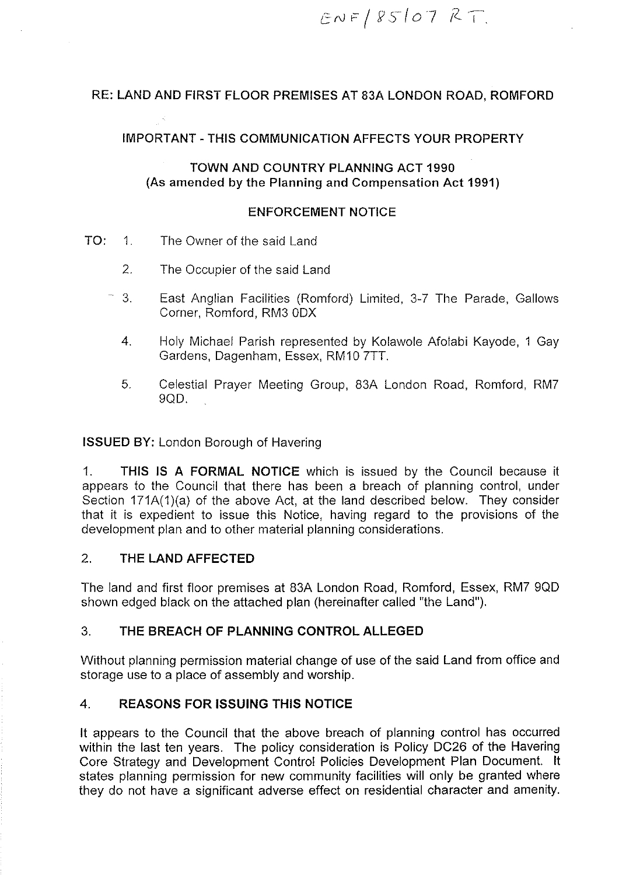$ENF/85107RT$ 

# RE: LAND AND FIRST FLOOR PREMISES AT 83A LONDON ROAD, ROMFORD

#### IMPORTANT-THIS COMMUNICATION AFFECTS YOUR PROPERTY

#### TOWN AND COUNTRY PLANNING ACT 1990 (As amended by the Planning and Compensation Act 1991)

#### ENFORCEMENT NOTICE

- TO: 1. The Owner of the said Land
	- 2. The Occupier of the said Land
	- 3. East Anglian Facilities (Romford) Limited, 3-7 The Parade, Gallows Corner, Romford, RM3 ODX
		- 4. Holy Michael Parish represented by Kolawole Afolabi Kayode, 1 Gay Gardens, Dagenham, Essex, RM10 ?TT.
		- 5. Celestial Prayer Meeting Group, 83A London Road, Romford, RM? 9QD.

ISSUED BY: London Borough of Havering

1. THIS IS A FORMAL NOTICE which is issued by the Council because it appears to the Council that there has been a breach of planning control, under Section 171A(1)(a) of the above Act, at the land described below. They consider that it is expedient to issue this Notice, having regard to the provisions of the development plan and to other material planning considerations.

#### 2. THE LAND AFFECTED

The land and first floor premises at 83A London Road, Romford, Essex, RM? 900 shown edged black on the attached plan (hereinafter called "the Land").

## 3. THE BREACH OF PLANNING CONTROL ALLEGED

Without planning permission material change of use of the said Land from office and storage use to a place of assembly and worship.

#### 4. REASONS FOR ISSUING THIS NOTICE

It appears to the Council that the above breach of planning control has occurred within the last ten years. The policy consideration is Policy DC26 of the Havering Core Strategy and Development Control Policies Development Plan Document. It states planning permission for new community facilities will only be granted where they do not have a significant adverse effect on residential character and amenity.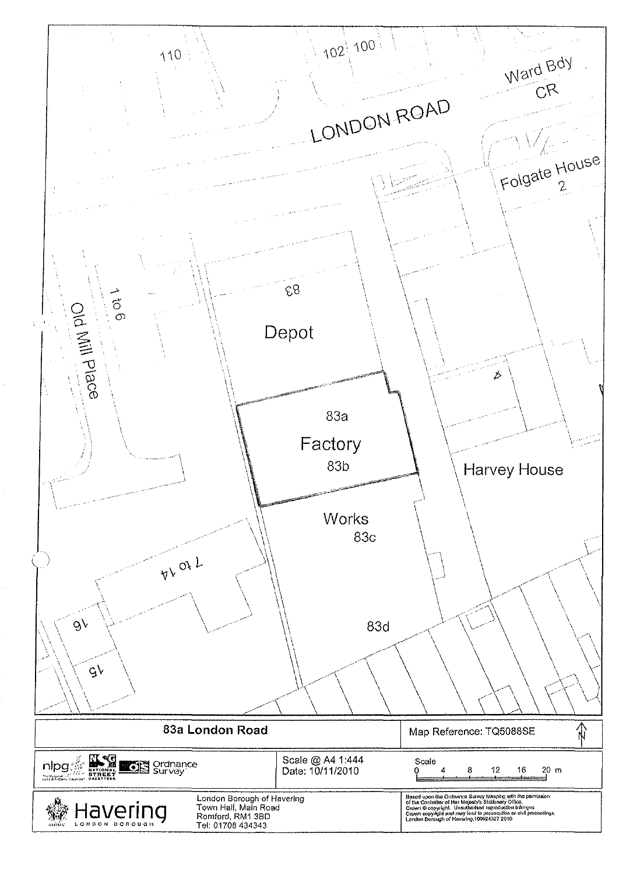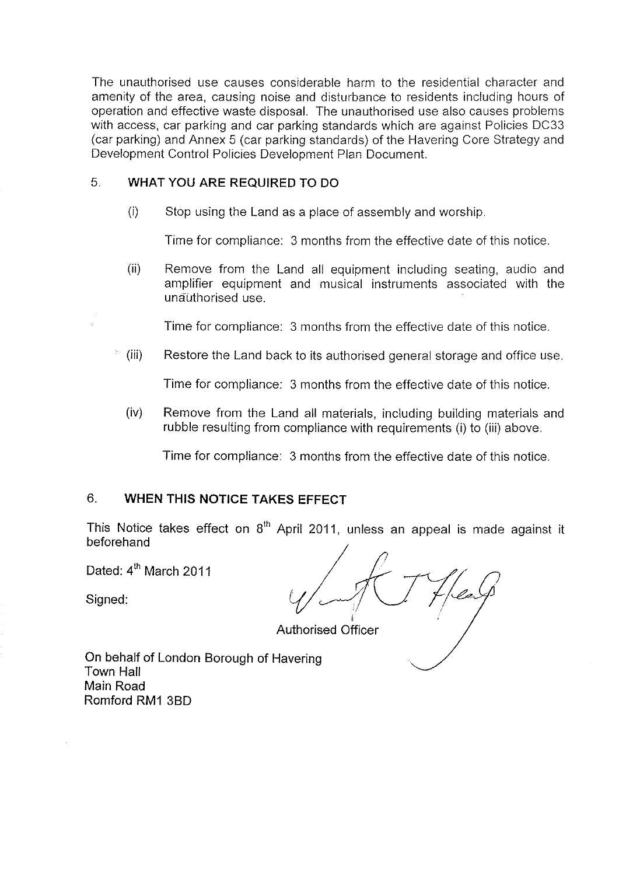The unauthorised use causes considerable harm to the residential character and amenity of the area, causing noise and disturbance to residents including hours of operation and effective waste disposal. The unauthorised use also causes problems with access, car parking and car parking standards which are against Policies DC33 (car parking) and Annex 5 (car parking standards) of the Havering Core Strategy and Development Control Policies Development Plan Document.

## 5. WHAT YOU ARE REQUIRED TO DO

 $(i)$  Stop using the Land as a place of assembly and worship.

Time for compliance: 3 months from the effective date of this notice.

(ii) Remove from the Land all equipment including seating, audio and amplifier equipment and musical instruments associated with the unauthorised use.

Time for compliance: 3 months from the effective date of this notice.

(iii) Restore the Land back to its authorised general storage and office use.

Time for compliance: 3 months from the effective date of this notice.

(iv) Remove from the Land all materials, including building materials and rubble resulting from compliance with requirements (i) to (iii) above.

Time for compliance: 3 months from the effective date of this notice.

# 6. WHEN THIS NOTICE TAKES EFFECT

This Notice takes effect on  $8<sup>th</sup>$  April 2011, unless an appeal is made against it beforehand

Dated: 4<sup>th</sup> March 2011

Signed:

i

Authorised Officer

On behalf of London Borough of Havering Town Hall Main Road Romford RM1 380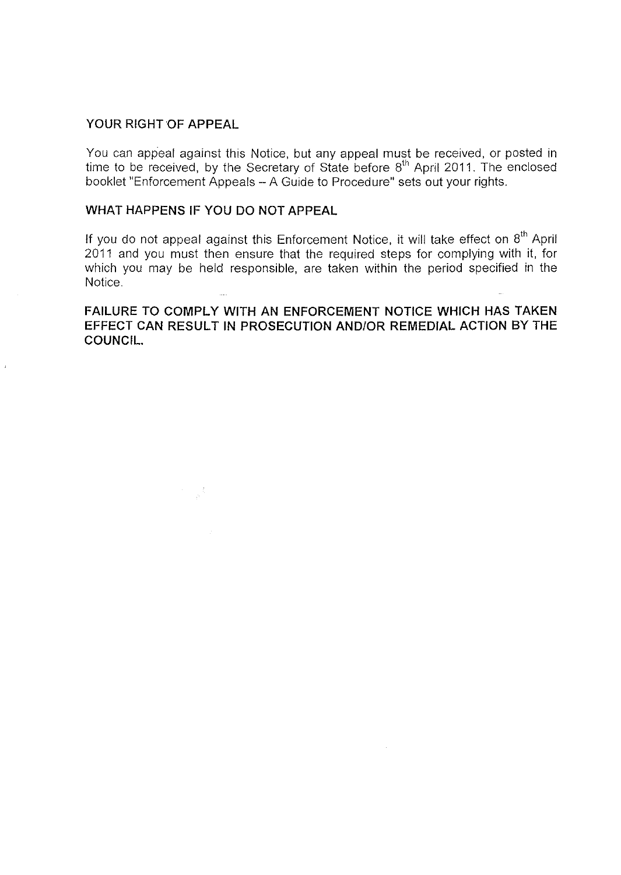#### **YOUR RIGHT OF APPEAL**

You can appeal against this Notice, but any appeal must be received, or posted in time to be received, by the Secretary of State before 8<sup>th</sup> April 2011. The enclosed booklet "Enforcement Appeals -A Guide to Procedure" sets out your rights.

# **WHAT HAPPENS IF YOU DO NOT APPEAL**

If you do not appeal against this Enforcement Notice, it will take effect on  $8^\text{th}$  April 2011 and you must then ensure that the required steps for complying with it, for which you may be held responsible, are taken within the period specified in the Notice.

**FAILURE TO COMPLY WITH AN ENFORCEMENT NOTICE WHICH HAS TAKEN EFFECT CAN RESULT IN PROSECUTION AND/OR REMEDIAL ACTION BY THE COUNCIL.**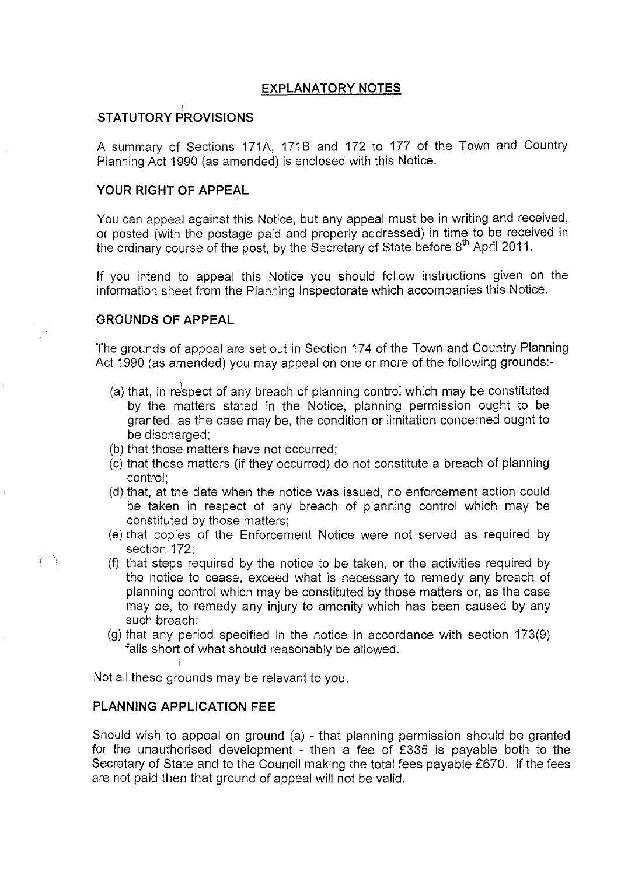# **EXPLANATORY NOTES**

# **STATUTORY PROVISIONS**

A summary of Sections 171A, 1718 and 172 to 177 of the Town and Country Planning Act 1990 (as amended) is enclosed with this Notice.

# **YOUR RIGHT OF APPEAL**

You can appeal against this Notice, but any appeal must be in writing and received, or posted (with the postage paid and properly addressed) in time to be received in the ordinary course of the post, by the Secretary of State before  $8<sup>th</sup>$  April 2011.

If you intend to appeal this Notice you should follow instructions given on the information sheet from the Planning Inspectorate which accompanies this Notice.

# **GROUNDS OF APPEAL**

The grounds of appeal are set out in Section 174 of the Town and Country Planning Act 1990 (as amended) you may appeal on one or more of the following grounds:

- (a) that, in respect of any breach of planning control which may be constituted by the matters stated in the Notice, planning permission ought to be granted, as the case may be, the condition or limitation concerned ought to be discharged;
- (b) that those matters have not occurred;
- (c) that those matters (if they occurred) do not constitute a breach of planning control;
- (d) that, at the date when the notice was issued, no enforcement action could be taken in respect of any breach of planning control which may be constituted by those matters;
- (e) that copies of the Enforcement Notice were not served as required by section 172;
- (f) that steps required by the notice to be taken, or the activities required by the notice to cease, exceed what is necessary to remedy any breach of planning control which may be constituted by those matters or, as the case may be, to remedy any injury to amenity which has been caused by any such breach;
- (g) that any period specified in the notice in accordance with section 173(9) falls short of what should reasonably be allowed.

Not all these grounds may be relevant to you.

# **PLANNING APPLICATION FEE**

 $\left(\begin{array}{c}\right)$ 

Should wish to appeal on ground (a) - that planning permission should be granted for the unauthorised development - then a fee of £335 is payable both to the Secretary of State and to the Council making the total fees payable £670. If the fees are not paid then that ground of appeal will not be valid.